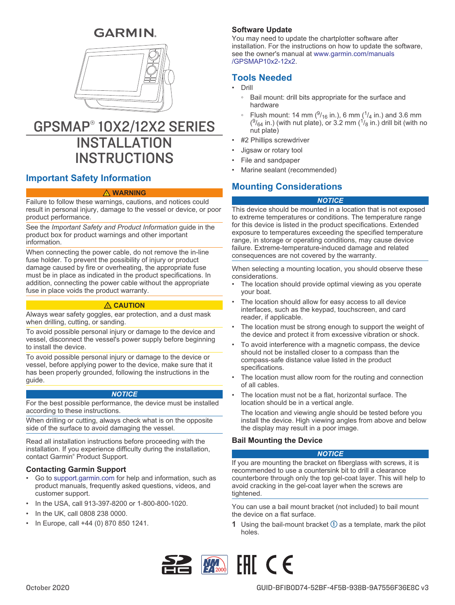# **GARMIN.**



# GPSMAP® 10X2/12X2 SERIES **INSTALLATION INSTRUCTIONS**

# **Important Safety Information**

#### **WARNING**

Failure to follow these warnings, cautions, and notices could result in personal injury, damage to the vessel or device, or poor product performance.

See the *Important Safety and Product Information* guide in the product box for product warnings and other important information.

When connecting the power cable, do not remove the in-line fuse holder. To prevent the possibility of injury or product damage caused by fire or overheating, the appropriate fuse must be in place as indicated in the product specifications. In addition, connecting the power cable without the appropriate fuse in place voids the product warranty.

### **CAUTION**

Always wear safety goggles, ear protection, and a dust mask when drilling, cutting, or sanding.

To avoid possible personal injury or damage to the device and vessel, disconnect the vessel's power supply before beginning to install the device.

To avoid possible personal injury or damage to the device or vessel, before applying power to the device, make sure that it has been properly grounded, following the instructions in the guide.

### *NOTICE*

For the best possible performance, the device must be installed according to these instructions.

When drilling or cutting, always check what is on the opposite side of the surface to avoid damaging the vessel.

Read all installation instructions before proceeding with the installation. If you experience difficulty during the installation, contact Garmin® Product Support.

### **Contacting Garmin Support**

- Go to [support.garmin.com](http://support.garmin.com) for help and information, such as product manuals, frequently asked questions, videos, and customer support.
- In the USA, call 913-397-8200 or 1-800-800-1020.
- In the UK, call 0808 238 0000.
- In Europe, call +44 (0) 870 850 1241.

# **Software Update**

You may need to update the chartplotter software after installation. For the instructions on how to update the software, see the owner's manual at [www.garmin.com/manuals](http://www.garmin.com/manuals/GPSMAP10x2-12x2) [/GPSMAP10x2-12x2.](http://www.garmin.com/manuals/GPSMAP10x2-12x2)

# **Tools Needed**

- Drill
	- Bail mount: drill bits appropriate for the surface and hardware
	- Flush mount: 14 mm ( $\frac{9}{16}$  in.), 6 mm ( $\frac{1}{4}$  in.) and 3.6 mm  $(^{9}/_{64}$  in.) (with nut plate), or 3.2 mm ( $\frac{1}{8}$  in.) drill bit (with no nut plate)
- #2 Phillips screwdriver
- Jigsaw or rotary tool
- File and sandpaper
- Marine sealant (recommended)

# **Mounting Considerations**

# *NOTICE*

This device should be mounted in a location that is not exposed to extreme temperatures or conditions. The temperature range for this device is listed in the product specifications. Extended exposure to temperatures exceeding the specified temperature range, in storage or operating conditions, may cause device failure. Extreme-temperature-induced damage and related consequences are not covered by the warranty.

When selecting a mounting location, you should observe these considerations.

- The location should provide optimal viewing as you operate your boat.
- The location should allow for easy access to all device interfaces, such as the keypad, touchscreen, and card reader, if applicable.
- The location must be strong enough to support the weight of the device and protect it from excessive vibration or shock.
- To avoid interference with a magnetic compass, the device should not be installed closer to a compass than the compass-safe distance value listed in the product specifications.
- The location must allow room for the routing and connection of all cables.
- The location must not be a flat, horizontal surface. The location should be in a vertical angle.

The location and viewing angle should be tested before you install the device. High viewing angles from above and below the display may result in a poor image.

# **Bail Mounting the Device**

### *NOTICE*

If you are mounting the bracket on fiberglass with screws, it is recommended to use a countersink bit to drill a clearance counterbore through only the top gel-coat layer. This will help to avoid cracking in the gel-coat layer when the screws are tightened.

You can use a bail mount bracket (not included) to bail mount the device on a flat surface.

**1** Using the bail-mount bracket  $\Omega$  as a template, mark the pilot holes.

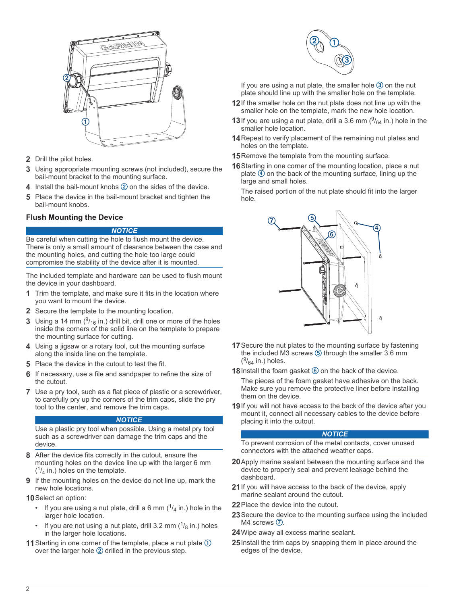

- **2** Drill the pilot holes.
- **3** Using appropriate mounting screws (not included), secure the bail-mount bracket to the mounting surface.
- **4** Install the bail-mount knobs 2 on the sides of the device.
- **5** Place the device in the bail-mount bracket and tighten the bail-mount knobs.

# **Flush Mounting the Device**

#### *NOTICE*

Be careful when cutting the hole to flush mount the device. There is only a small amount of clearance between the case and the mounting holes, and cutting the hole too large could compromise the stability of the device after it is mounted.

The included template and hardware can be used to flush mount the device in your dashboard.

- **1** Trim the template, and make sure it fits in the location where you want to mount the device.
- **2** Secure the template to the mounting location.
- **3** Using a 14 mm  $(^{9}$ /<sub>16</sub> in.) drill bit, drill one or more of the holes inside the corners of the solid line on the template to prepare the mounting surface for cutting.
- **4** Using a jigsaw or a rotary tool, cut the mounting surface along the inside line on the template.
- **5** Place the device in the cutout to test the fit.
- **6** If necessary, use a file and sandpaper to refine the size of the cutout.
- **7** Use a pry tool, such as a flat piece of plastic or a screwdriver, to carefully pry up the corners of the trim caps, slide the pry tool to the center, and remove the trim caps.

#### *NOTICE*

Use a plastic pry tool when possible. Using a metal pry tool such as a screwdriver can damage the trim caps and the device.

- **8** After the device fits correctly in the cutout, ensure the mounting holes on the device line up with the larger 6 mm  $(1/4)$  in.) holes on the template.
- **9** If the mounting holes on the device do not line up, mark the new hole locations.
- **10**Select an option:
	- If you are using a nut plate, drill a 6 mm  $\binom{1}{4}$  in.) hole in the larger hole location.
	- If you are not using a nut plate, drill 3.2 mm  $(1/8)$  in.) holes in the larger hole locations.
- **11** Starting in one corner of the template, place a nut plate ① over the larger hole  $@$  drilled in the previous step.



If you are using a nut plate, the smaller hole  $\circled{3}$  on the nut plate should line up with the smaller hole on the template.

- **12**If the smaller hole on the nut plate does not line up with the smaller hole on the template, mark the new hole location.
- **13** If you are using a nut plate, drill a 3.6 mm  $(^{9}/_{64}$  in.) hole in the smaller hole location.
- **14**Repeat to verify placement of the remaining nut plates and holes on the template.
- **15** Remove the template from the mounting surface.
- **16**Starting in one corner of the mounting location, place a nut plate  $\overline{4}$  on the back of the mounting surface, lining up the large and small holes.

The raised portion of the nut plate should fit into the larger hole.



- **17**Secure the nut plates to the mounting surface by fastening the included M3 screws  $\circled{5}$  through the smaller 3.6 mm  $(^{9}/_{64}$  in.) holes.
- **18** Install the foam gasket **6** on the back of the device.

The pieces of the foam gasket have adhesive on the back. Make sure you remove the protective liner before installing them on the device.

**19**If you will not have access to the back of the device after you mount it, connect all necessary cables to the device before placing it into the cutout.

#### *NOTICE*

To prevent corrosion of the metal contacts, cover unused connectors with the attached weather caps.

- **20**Apply marine sealant between the mounting surface and the device to properly seal and prevent leakage behind the dashboard.
- **21**If you will have access to the back of the device, apply marine sealant around the cutout.
- **22**Place the device into the cutout.
- **23**Secure the device to the mounting surface using the included M4 screws  $\oslash$ .
- **24**Wipe away all excess marine sealant.
- **25**Install the trim caps by snapping them in place around the edges of the device.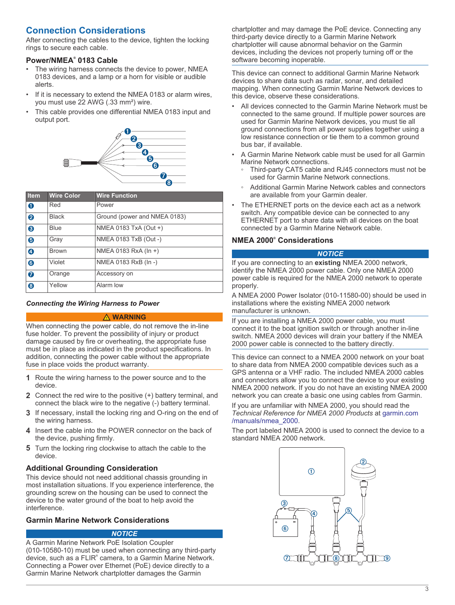# **Connection Considerations**

After connecting the cables to the device, tighten the locking rings to secure each cable.

# **Power/NMEA® 0183 Cable**

- The wiring harness connects the device to power, NMEA 0183 devices, and a lamp or a horn for visible or audible alerts.
- If it is necessary to extend the NMEA 0183 or alarm wires, you must use 22 AWG (.33 mm²) wire.
- This cable provides one differential NMEA 0183 input and output port.



| <b>Item</b> | <b>Wire Color</b> | <b>Wire Function</b>         |
|-------------|-------------------|------------------------------|
| $\bullet$   | Red               | Power                        |
| 0           | <b>Black</b>      | Ground (power and NMEA 0183) |
| ❸           | Blue              | NMEA 0183 TxA (Out +)        |
| 6           | Gray              | NMEA 0183 TxB (Out -)        |
| $\bullet$   | <b>Brown</b>      | NMEA 0183 RxA (In +)         |
| $\bf{G}$    | Violet            | NMEA 0183 RxB (In -)         |
| $\bullet$   | Orange            | Accessory on                 |
| 8           | Yellow            | Alarm low                    |

## *Connecting the Wiring Harness to Power*

#### **WARNING**

When connecting the power cable, do not remove the in-line fuse holder. To prevent the possibility of injury or product damage caused by fire or overheating, the appropriate fuse must be in place as indicated in the product specifications. In addition, connecting the power cable without the appropriate fuse in place voids the product warranty.

- **1** Route the wiring harness to the power source and to the device.
- **2** Connect the red wire to the positive (+) battery terminal, and connect the black wire to the negative (-) battery terminal.
- **3** If necessary, install the locking ring and O-ring on the end of the wiring harness.
- **4** Insert the cable into the POWER connector on the back of the device, pushing firmly.
- **5** Turn the locking ring clockwise to attach the cable to the device.

# **Additional Grounding Consideration**

This device should not need additional chassis grounding in most installation situations. If you experience interference, the grounding screw on the housing can be used to connect the device to the water ground of the boat to help avoid the interference.

# **Garmin Marine Network Considerations**

#### *NOTICE*

A Garmin Marine Network PoE Isolation Coupler (010-10580-10) must be used when connecting any third-party device, such as a FLIR<sup>®</sup> camera, to a Garmin Marine Network. Connecting a Power over Ethernet (PoE) device directly to a Garmin Marine Network chartplotter damages the Garmin

chartplotter and may damage the PoE device. Connecting any third-party device directly to a Garmin Marine Network chartplotter will cause abnormal behavior on the Garmin devices, including the devices not properly turning off or the software becoming inoperable.

This device can connect to additional Garmin Marine Network devices to share data such as radar, sonar, and detailed mapping. When connecting Garmin Marine Network devices to this device, observe these considerations.

- All devices connected to the Garmin Marine Network must be connected to the same ground. If multiple power sources are used for Garmin Marine Network devices, you must tie all ground connections from all power supplies together using a low resistance connection or tie them to a common ground bus bar, if available.
- A Garmin Marine Network cable must be used for all Garmin Marine Network connections.
	- Third-party CAT5 cable and RJ45 connectors must not be used for Garmin Marine Network connections.
	- Additional Garmin Marine Network cables and connectors are available from your Garmin dealer.
- The ETHERNET ports on the device each act as a network switch. Any compatible device can be connected to any ETHERNET port to share data with all devices on the boat connected by a Garmin Marine Network cable.

# **NMEA 2000® Considerations**

#### *NOTICE*

If you are connecting to an **existing** NMEA 2000 network, identify the NMEA 2000 power cable. Only one NMEA 2000 power cable is required for the NMEA 2000 network to operate properly.

A NMEA 2000 Power Isolator (010-11580-00) should be used in installations where the existing NMEA 2000 network manufacturer is unknown.

If you are installing a NMEA 2000 power cable, you must connect it to the boat ignition switch or through another in-line switch. NMEA 2000 devices will drain your battery if the NMEA 2000 power cable is connected to the battery directly.

This device can connect to a NMEA 2000 network on your boat to share data from NMEA 2000 compatible devices such as a GPS antenna or a VHF radio. The included NMEA 2000 cables and connectors allow you to connect the device to your existing NMEA 2000 network. If you do not have an existing NMEA 2000 network you can create a basic one using cables from Garmin.

If you are unfamiliar with NMEA 2000, you should read the *Technical Reference for NMEA 2000 Products* at [garmin.com](http://www.garmin.com/manuals/nmea_2000) [/manuals/nmea\\_2000](http://www.garmin.com/manuals/nmea_2000).

The port labeled NMEA 2000 is used to connect the device to a standard NMEA 2000 network.

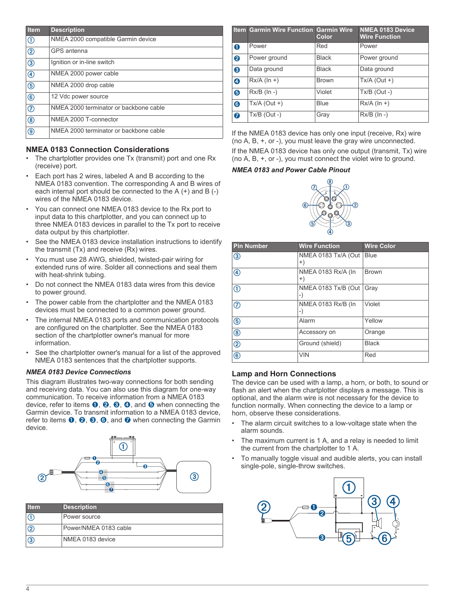| Item                      | <b>Description</b>                     |
|---------------------------|----------------------------------------|
| ①                         | NMEA 2000 compatible Garmin device     |
| $  \circledS$             | GPS antenna                            |
| $\circledcirc$            | Ignition or in-line switch             |
| $\bigcirc$                | NMEA 2000 power cable                  |
| $\circledcirc$            | NMEA 2000 drop cable                   |
| $\circ$                   | 12 Vdc power source                    |
| $\overline{\circledcirc}$ | NMEA 2000 terminator or backbone cable |
| $\circledR$               | NMEA 2000 T-connector                  |
| $  \circledS$             | NMEA 2000 terminator or backbone cable |

# **NMEA 0183 Connection Considerations**

- The chartplotter provides one Tx (transmit) port and one Rx (receive) port.
- Each port has 2 wires, labeled A and B according to the NMEA 0183 convention. The corresponding A and B wires of each internal port should be connected to the A (+) and B (-) wires of the NMEA 0183 device.
- You can connect one NMEA 0183 device to the Rx port to input data to this chartplotter, and you can connect up to three NMEA 0183 devices in parallel to the Tx port to receive data output by this chartplotter.
- See the NMEA 0183 device installation instructions to identify the transmit (Tx) and receive (Rx) wires.
- You must use 28 AWG, shielded, twisted-pair wiring for extended runs of wire. Solder all connections and seal them with heat-shrink tubing.
- Do not connect the NMEA 0183 data wires from this device to power ground.
- The power cable from the chartplotter and the NMEA 0183 devices must be connected to a common power ground.
- The internal NMEA 0183 ports and communication protocols are configured on the chartplotter. See the NMEA 0183 section of the chartplotter owner's manual for more information.
- See the chartplotter owner's manual for a list of the approved NMEA 0183 sentences that the chartplotter supports.

#### *NMEA 0183 Device Connections*

This diagram illustrates two-way connections for both sending and receiving data. You can also use this diagram for one-way communication. To receive information from a NMEA 0183 device, refer to items  $\mathbf{0}, \mathbf{\Theta}, \mathbf{\Theta}, \mathbf{\Theta}$ , and  $\mathbf{\Theta}$  when connecting the Garmin device. To transmit information to a NMEA 0183 device, refer to items  $\mathbf{0}$ ,  $\mathbf{0}$ ,  $\mathbf{0}$ ,  $\mathbf{0}$ , and  $\mathbf{0}$  when connecting the Garmin device.



| <b>Item</b>   | <b>Description</b>    |
|---------------|-----------------------|
| G)            | Power source          |
| $\circled{2}$ | Power/NMEA 0183 cable |
| $\circled{3}$ | NMEA 0183 device      |

|           | <b>Item Garmin Wire Function Garmin Wire</b> | Color        | <b>NMEA 0183 Device</b><br><b>Wire Function</b> |
|-----------|----------------------------------------------|--------------|-------------------------------------------------|
| $\bullet$ | Power                                        | Red          | Power                                           |
| 0         | Power ground                                 | <b>Black</b> | Power ground                                    |
| 0         | Data ground                                  | <b>Black</b> | Data ground                                     |
| $\bullet$ | $Rx/A$ (ln +)                                | <b>Brown</b> | $Tx/A$ (Out +)                                  |
| 6         | $Rx/B$ ( $In -$ )                            | Violet       | $Tx/B$ (Out -)                                  |
| 6         | $Tx/A$ (Out +)                               | Blue         | $Rx/A$ ( $\ln +$ )                              |
| $\bullet$ | $Tx/B$ (Out -)                               | Gray         | $Rx/B$ ( $\ln -$ )                              |

If the NMEA 0183 device has only one input (receive, Rx) wire (no A, B, +, or -), you must leave the gray wire unconnected. If the NMEA 0183 device has only one output (transmit, Tx) wire (no A, B, +, or -), you must connect the violet wire to ground.

#### *NMEA 0183 and Power Cable Pinout*



| <b>Pin Number</b> | <b>Wire Function</b>        | <b>Wire Color</b> |
|-------------------|-----------------------------|-------------------|
| $\circledS$       | NMEA 0183 Tx/A (Out<br>$+)$ | <b>Blue</b>       |
| $^{\circledR}$    | NMEA 0183 Rx/A (In<br>$+)$  | <b>Brown</b>      |
| $^{\circ}$        | NMEA 0183 Tx/B (Out<br>-)   | Gray              |
| $\circledcirc$    | NMEA 0183 Rx/B (In<br>-)    | Violet            |
| $\circledS$       | Alarm                       | Yellow            |
| $^{\circledR}$    | Accessory on                | Orange            |
| $^{\circledR}$    | Ground (shield)             | <b>Black</b>      |
| $^{\circledR}$    | <b>VIN</b>                  | Red               |

# **Lamp and Horn Connections**

The device can be used with a lamp, a horn, or both, to sound or flash an alert when the chartplotter displays a message. This is optional, and the alarm wire is not necessary for the device to function normally. When connecting the device to a lamp or horn, observe these considerations.

- The alarm circuit switches to a low-voltage state when the alarm sounds.
- The maximum current is 1 A, and a relay is needed to limit the current from the chartplotter to 1 A.
- To manually toggle visual and audible alerts, you can install single-pole, single-throw switches.

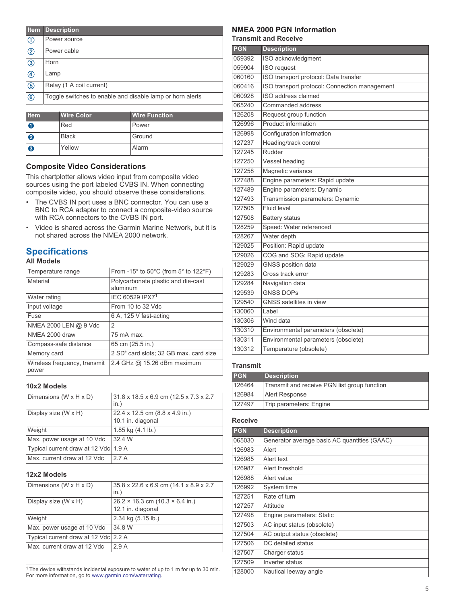| <b>Item</b>               | <b>Description</b>                                        |
|---------------------------|-----------------------------------------------------------|
| $^\text{\textregistered}$ | Power source                                              |
| $^{\circledR}$            | Power cable                                               |
| $\circledS$               | Horn                                                      |
| $^{\circledR}$            | Lamp                                                      |
| $\circledS$               | Relay (1 A coil current)                                  |
| $^\circledR$              | Toggle switches to enable and disable lamp or horn alerts |

| <b>Item</b> | <b>Wire Color</b> | <b>Wire Function</b> |
|-------------|-------------------|----------------------|
| O           | Red               | Power                |
| 0           | <b>Black</b>      | Ground               |
| 0           | Yellow            | Alarm                |

# **Composite Video Considerations**

This chartplotter allows video input from composite video sources using the port labeled CVBS IN. When connecting composite video, you should observe these considerations.

- The CVBS IN port uses a BNC connector. You can use a BNC to RCA adapter to connect a composite-video source with RCA connectors to the CVBS IN port.
- Video is shared across the Garmin Marine Network, but it is not shared across the NMEA 2000 network.

# **Specifications**

# **All Models**

| Temperature range                     | From -15 $\degree$ to 50 $\degree$ C (from 5 $\degree$ to 122 $\degree$ F) |
|---------------------------------------|----------------------------------------------------------------------------|
| Material                              | Polycarbonate plastic and die-cast<br>aluminum                             |
| Water rating                          | IEC 60529 IPX7 <sup>1</sup>                                                |
| Input voltage                         | From 10 to 32 Vdc                                                          |
| Fuse                                  | 6 A, 125 V fast-acting                                                     |
| NMEA 2000 LEN @ 9 Vdc                 | 2                                                                          |
| NMEA 2000 draw                        | 75 mA max                                                                  |
| Compass-safe distance                 | 65 cm (25.5 in.)                                                           |
| Memory card                           | 2 SD <sup>®</sup> card slots; 32 GB max. card size                         |
| Wireless frequency, transmit<br>power | 2.4 GHz @ 15.26 dBm maximum                                                |

#### **10x2 Models**

| Dimensions (W x H x D)               | 31.8 x 18.5 x 6.9 cm (12.5 x 7.3 x 2.7)<br>in.)     |
|--------------------------------------|-----------------------------------------------------|
| Display size (W x H)                 | 22.4 x 12.5 cm (8.8 x 4.9 in.)<br>10.1 in. diagonal |
| Weight                               | 1.85 kg (4.1 lb.)                                   |
| Max. power usage at 10 Vdc           | 32.4 W                                              |
| Typical current draw at 12 Vdc 1.9 A |                                                     |
| Max. current draw at 12 Vdc          | 27A                                                 |

#### **12x2 Models**

| Dimensions ( $W \times H \times D$ ) | 35.8 x 22.6 x 6.9 cm (14.1 x 8.9 x 2.7<br>in.)                     |
|--------------------------------------|--------------------------------------------------------------------|
| Display size (W x H)                 | $26.2 \times 16.3$ cm $(10.3 \times 6.4$ in.)<br>12.1 in. diagonal |
|                                      |                                                                    |
| Weight                               | 2.34 kg (5.15 lb.)                                                 |
| Max. power usage at 10 Vdc           | 34.8 W                                                             |
| Typical current draw at 12 Vdc 2.2 A |                                                                    |
| Max. current draw at 12 Vdc          | 29A                                                                |
|                                      |                                                                    |

 $1$ <sup>1</sup> The device withstands incidental exposure to water of up to 1 m for up to 30 min. For more information, go to [www.garmin.com/waterrating.](http://www.garmin.com/waterrating)

# **NMEA 2000 PGN Information**

**Transmit and Receive**

| <b>PGN</b> | <b>Description</b>                            |
|------------|-----------------------------------------------|
| 059392     | ISO acknowledgment                            |
| 059904     | <b>ISO</b> request                            |
| 060160     | ISO transport protocol: Data transfer         |
| 060416     | ISO transport protocol: Connection management |
| 060928     | ISO address claimed                           |
| 065240     | Commanded address                             |
| 126208     | Request group function                        |
| 126996     | Product information                           |
| 126998     | Configuration information                     |
| 127237     | Heading/track control                         |
| 127245     | Rudder                                        |
| 127250     | Vessel heading                                |
| 127258     | Magnetic variance                             |
| 127488     | Engine parameters: Rapid update               |
| 127489     | Engine parameters: Dynamic                    |
| 127493     | Transmission parameters: Dynamic              |
| 127505     | Fluid level                                   |
| 127508     | <b>Battery status</b>                         |
| 128259     | Speed: Water referenced                       |
| 128267     | Water depth                                   |
| 129025     | Position: Rapid update                        |
| 129026     | COG and SOG: Rapid update                     |
| 129029     | <b>GNSS</b> position data                     |
| 129283     | Cross track error                             |
| 129284     | Navigation data                               |
| 129539     | <b>GNSS DOPS</b>                              |
| 129540     | <b>GNSS</b> satellites in view                |
| 130060     | Label                                         |
| 130306     | Wind data                                     |
| 130310     | Environmental parameters (obsolete)           |
| 130311     | Environmental parameters (obsolete)           |
| 130312     | Temperature (obsolete)                        |

#### **Transmit**

| <b>PGN</b> | <b>Description</b>                           |
|------------|----------------------------------------------|
| 126464     | Transmit and receive PGN list group function |
| 126984     | Alert Response                               |
| 127497     | Trip parameters: Engine                      |

#### **Receive**

| <b>PGN</b> | <b>Description</b>                           |
|------------|----------------------------------------------|
| 065030     | Generator average basic AC quantities (GAAC) |
| 126983     | Alert                                        |
| 126985     | Alert text                                   |
| 126987     | Alert threshold                              |
| 126988     | Alert value                                  |
| 126992     | System time                                  |
| 127251     | Rate of turn                                 |
| 127257     | Attitude                                     |
| 127498     | Engine parameters: Static                    |
| 127503     | AC input status (obsolete)                   |
| 127504     | AC output status (obsolete)                  |
| 127506     | DC detailed status                           |
| 127507     | Charger status                               |
| 127509     | Inverter status                              |
| 128000     | Nautical leeway angle                        |